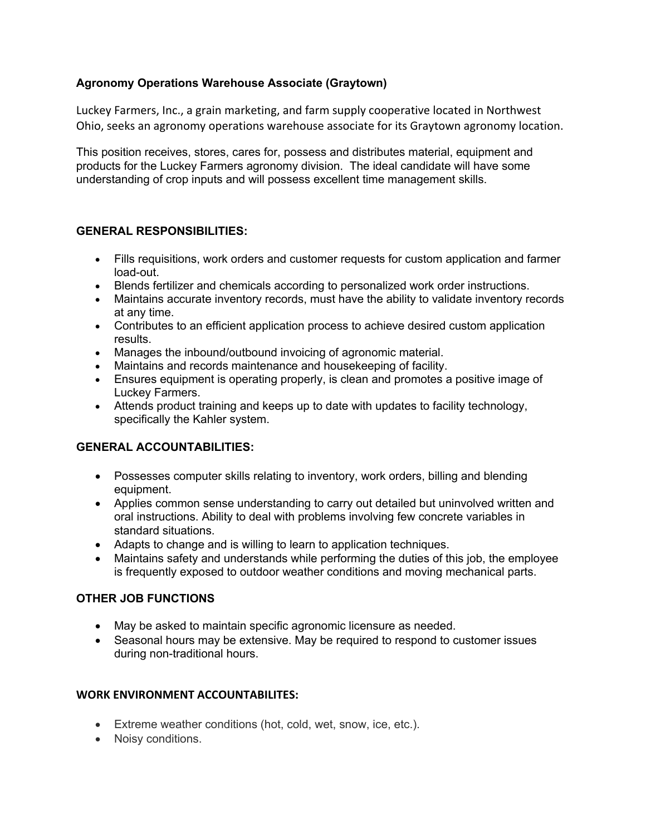## **Agronomy Operations Warehouse Associate (Graytown)**

Luckey Farmers, Inc., a grain marketing, and farm supply cooperative located in Northwest Ohio, seeks an agronomy operations warehouse associate for its Graytown agronomy location.

This position receives, stores, cares for, possess and distributes material, equipment and products for the Luckey Farmers agronomy division. The ideal candidate will have some understanding of crop inputs and will possess excellent time management skills.

#### **GENERAL RESPONSIBILITIES:**

- Fills requisitions, work orders and customer requests for custom application and farmer load-out.
- Blends fertilizer and chemicals according to personalized work order instructions.
- Maintains accurate inventory records, must have the ability to validate inventory records at any time.
- Contributes to an efficient application process to achieve desired custom application results.
- Manages the inbound/outbound invoicing of agronomic material.
- Maintains and records maintenance and housekeeping of facility.
- Ensures equipment is operating properly, is clean and promotes a positive image of Luckey Farmers.
- Attends product training and keeps up to date with updates to facility technology, specifically the Kahler system.

# **GENERAL ACCOUNTABILITIES:**

- Possesses computer skills relating to inventory, work orders, billing and blending equipment.
- Applies common sense understanding to carry out detailed but uninvolved written and oral instructions. Ability to deal with problems involving few concrete variables in standard situations.
- Adapts to change and is willing to learn to application techniques.
- Maintains safety and understands while performing the duties of this job, the employee is frequently exposed to outdoor weather conditions and moving mechanical parts.

# **OTHER JOB FUNCTIONS**

- May be asked to maintain specific agronomic licensure as needed.
- Seasonal hours may be extensive. May be required to respond to customer issues during non-traditional hours.

#### **WORK ENVIRONMENT ACCOUNTABILITES:**

- Extreme weather conditions (hot, cold, wet, snow, ice, etc.).
- Noisy conditions.